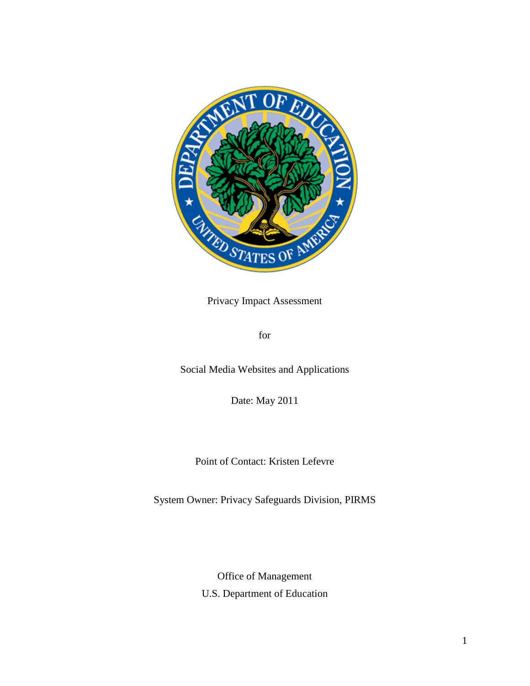

Privacy Impact Assessment

for

Social Media Websites and Applications

Date: May 2011

Point of Contact: Kristen Lefevre

System Owner: Privacy Safeguards Division, PIRMS

Office of Management

U.S. Department of Education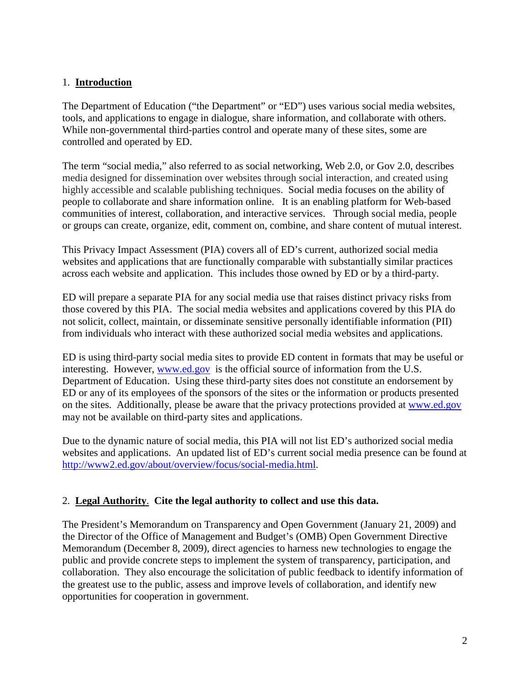### 1. **Introduction**

The Department of Education ("the Department" or "ED") uses various social media websites, tools, and applications to engage in dialogue, share information, and collaborate with others. While non-governmental third-parties control and operate many of these sites, some are controlled and operated by ED.

The term "social media," also referred to as social networking, Web 2.0, or Gov 2.0, describes media designed for dissemination over websites through social interaction, and created using highly accessible and scalable publishing techniques. Social media focuses on the ability of people to collaborate and share information online. It is an enabling platform for Web-based communities of interest, collaboration, and interactive services. Through social media, people or groups can create, organize, edit, comment on, combine, and share content of mutual interest.

This Privacy Impact Assessment (PIA) covers all of ED's current, authorized social media websites and applications that are functionally comparable with substantially similar practices across each website and application. This includes those owned by ED or by a third-party.

ED will prepare a separate PIA for any social media use that raises distinct privacy risks from those covered by this PIA. The social media websites and applications covered by this PIA do not solicit, collect, maintain, or disseminate sensitive personally identifiable information (PII) from individuals who interact with these authorized social media websites and applications.

ED is using third-party social media sites to provide ED content in formats that may be useful or interesting. However,  $www.$ ed.gov is the official source of information from the U.S. Department of Education. Using these third-party sites does not constitute an endorsement by ED or any of its employees of the sponsors of the sites or the information or products presented on the sites. Additionally, please be aware that the privacy protections provided at [www.ed.gov](http://www.ed.gov/) may not be available on third-party sites and applications.

Due to the dynamic nature of social media, this PIA will not list ED's authorized social media websites and applications. An updated list of ED's current social media presence can be found at [http://www2.ed.gov/about/overview/focus/social-media.html.](http://www2.ed.gov/about/overview/focus/social-media.html)

# 2. **Legal Authority**. **Cite the legal authority to collect and use this data.**

The President's Memorandum on Transparency and Open Government (January 21, 2009) and the Director of the Office of Management and Budget's (OMB) Open Government Directive Memorandum (December 8, 2009), direct agencies to harness new technologies to engage the public and provide concrete steps to implement the system of transparency, participation, and collaboration. They also encourage the solicitation of public feedback to identify information of the greatest use to the public, assess and improve levels of collaboration, and identify new opportunities for cooperation in government.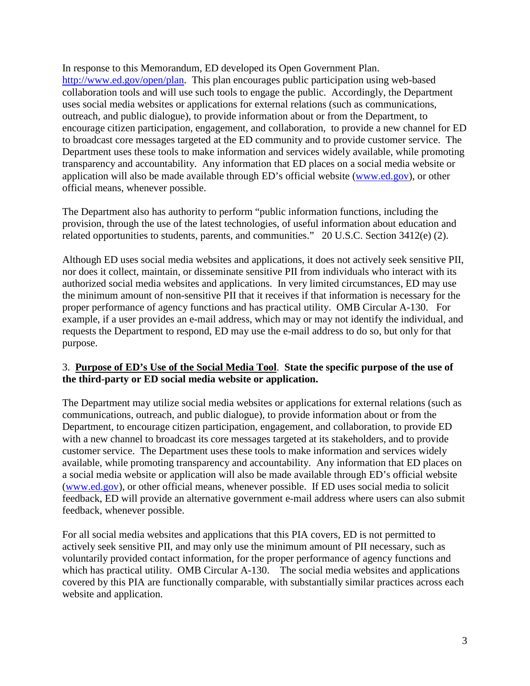In response to this Memorandum, ED developed its Open Government Plan. [http://www.ed.gov/open/plan.](http://www.ed.gov/open/plan) This plan encourages public participation using web-based collaboration tools and will use such tools to engage the public. Accordingly, the Department uses social media websites or applications for external relations (such as communications, outreach, and public dialogue), to provide information about or from the Department, to encourage citizen participation, engagement, and collaboration, to provide a new channel for ED to broadcast core messages targeted at the ED community and to provide customer service. The Department uses these tools to make information and services widely available, while promoting transparency and accountability. Any information that ED places on a social media website or application will also be made available through ED's official website [\(www.ed.gov\)](http://www.ed.gov/), or other official means, whenever possible.

The Department also has authority to perform "public information functions, including the provision, through the use of the latest technologies, of useful information about education and related opportunities to students, parents, and communities." 20 U.S.C. Section 3412(e) (2).

Although ED uses social media websites and applications, it does not actively seek sensitive PII, nor does it collect, maintain, or disseminate sensitive PII from individuals who interact with its authorized social media websites and applications. In very limited circumstances, ED may use the minimum amount of non-sensitive PII that it receives if that information is necessary for the proper performance of agency functions and has practical utility. OMB Circular A-130. For example, if a user provides an e-mail address, which may or may not identify the individual, and requests the Department to respond, ED may use the e-mail address to do so, but only for that purpose.

#### 3. **Purpose of ED's Use of the Social Media Tool**. **State the specific purpose of the use of the third-party or ED social media website or application.**

The Department may utilize social media websites or applications for external relations (such as communications, outreach, and public dialogue), to provide information about or from the Department, to encourage citizen participation, engagement, and collaboration, to provide ED with a new channel to broadcast its core messages targeted at its stakeholders, and to provide customer service. The Department uses these tools to make information and services widely available, while promoting transparency and accountability. Any information that ED places on a social media website or application will also be made available through ED's official website [\(www.ed.gov\)](http://www.ed.gov/), or other official means, whenever possible. If ED uses social media to solicit feedback, ED will provide an alternative government e-mail address where users can also submit feedback, whenever possible.

For all social media websites and applications that this PIA covers, ED is not permitted to actively seek sensitive PII, and may only use the minimum amount of PII necessary, such as voluntarily provided contact information, for the proper performance of agency functions and which has practical utility. OMB Circular A-130. The social media websites and applications covered by this PIA are functionally comparable, with substantially similar practices across each website and application.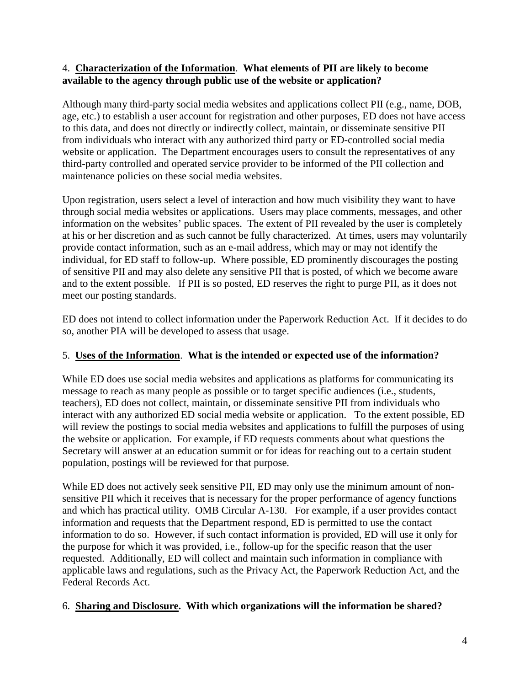### 4. **Characterization of the Information**. **What elements of PII are likely to become available to the agency through public use of the website or application?**

Although many third-party social media websites and applications collect PII (e.g., name, DOB, age, etc.) to establish a user account for registration and other purposes, ED does not have access to this data, and does not directly or indirectly collect, maintain, or disseminate sensitive PII from individuals who interact with any authorized third party or ED-controlled social media website or application. The Department encourages users to consult the representatives of any third-party controlled and operated service provider to be informed of the PII collection and maintenance policies on these social media websites.

Upon registration, users select a level of interaction and how much visibility they want to have through social media websites or applications. Users may place comments, messages, and other information on the websites' public spaces. The extent of PII revealed by the user is completely at his or her discretion and as such cannot be fully characterized. At times, users may voluntarily provide contact information, such as an e-mail address, which may or may not identify the individual, for ED staff to follow-up. Where possible, ED prominently discourages the posting of sensitive PII and may also delete any sensitive PII that is posted, of which we become aware and to the extent possible. If PII is so posted, ED reserves the right to purge PII, as it does not meet our posting standards.

ED does not intend to collect information under the Paperwork Reduction Act. If it decides to do so, another PIA will be developed to assess that usage.

# 5. **Uses of the Information**. **What is the intended or expected use of the information?**

While ED does use social media websites and applications as platforms for communicating its message to reach as many people as possible or to target specific audiences (i.e., students, teachers), ED does not collect, maintain, or disseminate sensitive PII from individuals who interact with any authorized ED social media website or application. To the extent possible, ED will review the postings to social media websites and applications to fulfill the purposes of using the website or application. For example, if ED requests comments about what questions the Secretary will answer at an education summit or for ideas for reaching out to a certain student population, postings will be reviewed for that purpose.

While ED does not actively seek sensitive PII, ED may only use the minimum amount of nonsensitive PII which it receives that is necessary for the proper performance of agency functions and which has practical utility. OMB Circular A-130. For example, if a user provides contact information and requests that the Department respond, ED is permitted to use the contact information to do so. However, if such contact information is provided, ED will use it only for the purpose for which it was provided, i.e., follow-up for the specific reason that the user requested. Additionally, ED will collect and maintain such information in compliance with applicable laws and regulations, such as the Privacy Act, the Paperwork Reduction Act, and the Federal Records Act.

# 6. **Sharing and Disclosure. With which organizations will the information be shared?**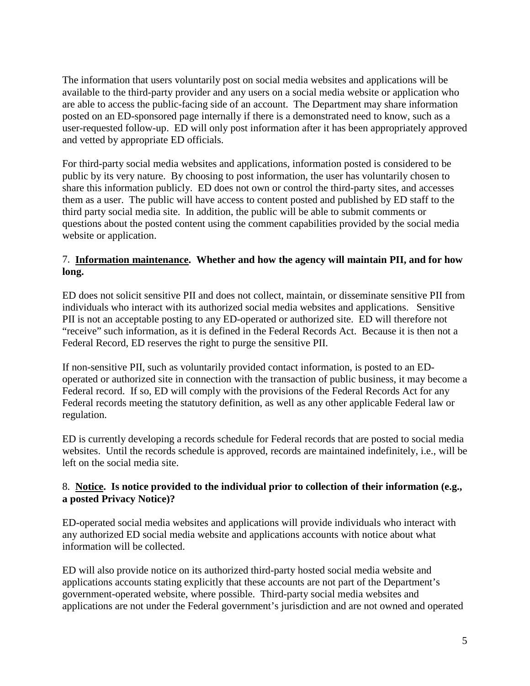The information that users voluntarily post on social media websites and applications will be available to the third-party provider and any users on a social media website or application who are able to access the public-facing side of an account. The Department may share information posted on an ED-sponsored page internally if there is a demonstrated need to know, such as a user-requested follow-up. ED will only post information after it has been appropriately approved and vetted by appropriate ED officials.

For third-party social media websites and applications, information posted is considered to be public by its very nature. By choosing to post information, the user has voluntarily chosen to share this information publicly. ED does not own or control the third-party sites, and accesses them as a user. The public will have access to content posted and published by ED staff to the third party social media site. In addition, the public will be able to submit comments or questions about the posted content using the comment capabilities provided by the social media website or application.

## 7. **Information maintenance. Whether and how the agency will maintain PII, and for how long.**

ED does not solicit sensitive PII and does not collect, maintain, or disseminate sensitive PII from individuals who interact with its authorized social media websites and applications. Sensitive PII is not an acceptable posting to any ED-operated or authorized site. ED will therefore not "receive" such information, as it is defined in the Federal Records Act. Because it is then not a Federal Record, ED reserves the right to purge the sensitive PII.

If non-sensitive PII, such as voluntarily provided contact information, is posted to an EDoperated or authorized site in connection with the transaction of public business, it may become a Federal record. If so, ED will comply with the provisions of the Federal Records Act for any Federal records meeting the statutory definition, as well as any other applicable Federal law or regulation.

ED is currently developing a records schedule for Federal records that are posted to social media websites. Until the records schedule is approved, records are maintained indefinitely, i.e., will be left on the social media site.

## 8. **Notice. Is notice provided to the individual prior to collection of their information (e.g., a posted Privacy Notice)?**

ED-operated social media websites and applications will provide individuals who interact with any authorized ED social media website and applications accounts with notice about what information will be collected.

ED will also provide notice on its authorized third-party hosted social media website and applications accounts stating explicitly that these accounts are not part of the Department's government-operated website, where possible. Third-party social media websites and applications are not under the Federal government's jurisdiction and are not owned and operated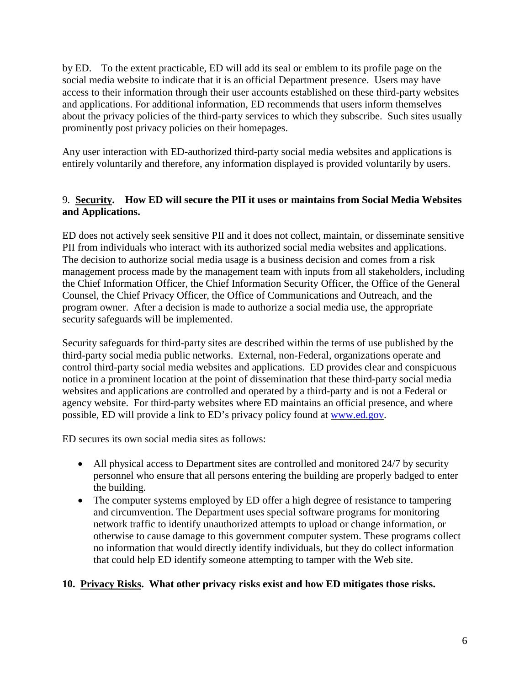by ED. To the extent practicable, ED will add its seal or emblem to its profile page on the social media website to indicate that it is an official Department presence. Users may have access to their information through their user accounts established on these third-party websites and applications. For additional information, ED recommends that users inform themselves about the privacy policies of the third-party services to which they subscribe. Such sites usually prominently post privacy policies on their homepages.

Any user interaction with ED-authorized third-party social media websites and applications is entirely voluntarily and therefore, any information displayed is provided voluntarily by users.

## 9. **Security. How ED will secure the PII it uses or maintains from Social Media Websites and Applications.**

ED does not actively seek sensitive PII and it does not collect, maintain, or disseminate sensitive PII from individuals who interact with its authorized social media websites and applications. The decision to authorize social media usage is a business decision and comes from a risk management process made by the management team with inputs from all stakeholders, including the Chief Information Officer, the Chief Information Security Officer, the Office of the General Counsel, the Chief Privacy Officer, the Office of Communications and Outreach, and the program owner. After a decision is made to authorize a social media use, the appropriate security safeguards will be implemented.

Security safeguards for third-party sites are described within the terms of use published by the third-party social media public networks. External, non-Federal, organizations operate and control third-party social media websites and applications. ED provides clear and conspicuous notice in a prominent location at the point of dissemination that these third-party social media websites and applications are controlled and operated by a third-party and is not a Federal or agency website. For third-party websites where ED maintains an official presence, and where possible, ED will provide a link to ED's privacy policy found at [www.ed.gov.](http://www.ed.gov/)

ED secures its own social media sites as follows:

- All physical access to Department sites are controlled and monitored 24/7 by security personnel who ensure that all persons entering the building are properly badged to enter the building.
- The computer systems employed by ED offer a high degree of resistance to tampering and circumvention. The Department uses special software programs for monitoring network traffic to identify unauthorized attempts to upload or change information, or otherwise to cause damage to this government computer system. These programs collect no information that would directly identify individuals, but they do collect information that could help ED identify someone attempting to tamper with the Web site.

# **10. Privacy Risks. What other privacy risks exist and how ED mitigates those risks.**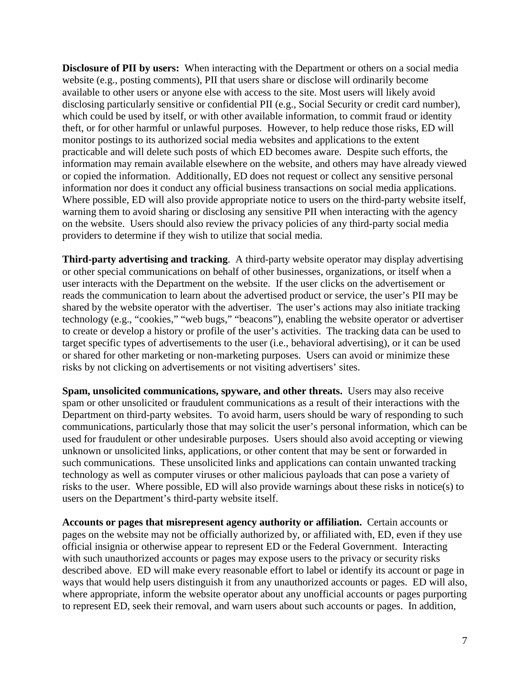**Disclosure of PII by users:** When interacting with the Department or others on a social media website (e.g., posting comments), PII that users share or disclose will ordinarily become available to other users or anyone else with access to the site. Most users will likely avoid disclosing particularly sensitive or confidential PII (e.g., Social Security or credit card number), which could be used by itself, or with other available information, to commit fraud or identity theft, or for other harmful or unlawful purposes. However, to help reduce those risks, ED will monitor postings to its authorized social media websites and applications to the extent practicable and will delete such posts of which ED becomes aware. Despite such efforts, the information may remain available elsewhere on the website, and others may have already viewed or copied the information. Additionally, ED does not request or collect any sensitive personal information nor does it conduct any official business transactions on social media applications. Where possible, ED will also provide appropriate notice to users on the third-party website itself, warning them to avoid sharing or disclosing any sensitive PII when interacting with the agency on the website. Users should also review the privacy policies of any third-party social media providers to determine if they wish to utilize that social media.

**Third-party advertising and tracking**. A third-party website operator may display advertising or other special communications on behalf of other businesses, organizations, or itself when a user interacts with the Department on the website. If the user clicks on the advertisement or reads the communication to learn about the advertised product or service, the user's PII may be shared by the website operator with the advertiser. The user's actions may also initiate tracking technology (e.g., "cookies," "web bugs," "beacons"), enabling the website operator or advertiser to create or develop a history or profile of the user's activities. The tracking data can be used to target specific types of advertisements to the user (i.e., behavioral advertising), or it can be used or shared for other marketing or non-marketing purposes. Users can avoid or minimize these risks by not clicking on advertisements or not visiting advertisers' sites.

**Spam, unsolicited communications, spyware, and other threats.** Users may also receive spam or other unsolicited or fraudulent communications as a result of their interactions with the Department on third-party websites. To avoid harm, users should be wary of responding to such communications, particularly those that may solicit the user's personal information, which can be used for fraudulent or other undesirable purposes. Users should also avoid accepting or viewing unknown or unsolicited links, applications, or other content that may be sent or forwarded in such communications. These unsolicited links and applications can contain unwanted tracking technology as well as computer viruses or other malicious payloads that can pose a variety of risks to the user. Where possible, ED will also provide warnings about these risks in notice(s) to users on the Department's third-party website itself.

**Accounts or pages that misrepresent agency authority or affiliation.** Certain accounts or pages on the website may not be officially authorized by, or affiliated with, ED, even if they use official insignia or otherwise appear to represent ED or the Federal Government. Interacting with such unauthorized accounts or pages may expose users to the privacy or security risks described above. ED will make every reasonable effort to label or identify its account or page in ways that would help users distinguish it from any unauthorized accounts or pages. ED will also, where appropriate, inform the website operator about any unofficial accounts or pages purporting to represent ED, seek their removal, and warn users about such accounts or pages. In addition,